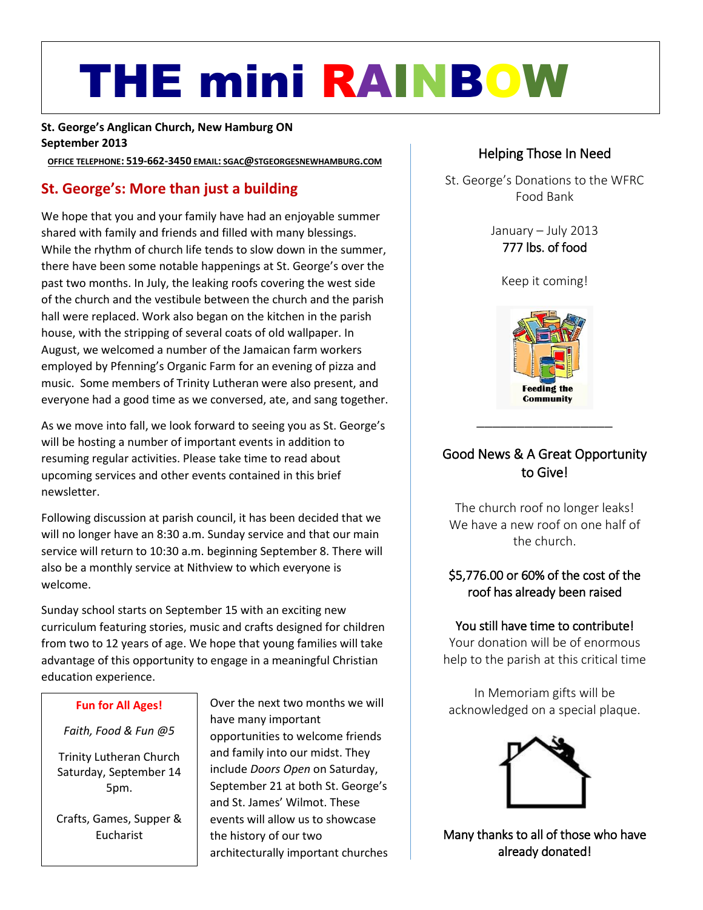# THE mini RAINBOW

**St. George's Anglican Church, New Hamburg ON September 2013**

**OFFICE TELEPHONE: 519-662-3450 EMAIL: SGAC@STGEORGESNEWHAMBURG.COM**

# **St. George's: More than just a building**

We hope that you and your family have had an enjoyable summer<br>
shared with family and friends and filled with many blessings.<br>
While the rhythm of church life tends to slow down in the summer **1777** lbs. of food shared with family and friends and filled with many blessings. While the rhythm of church life tends to slow down in the summer, there have been some notable happenings at St. George's over the past two months. In July, the leaking roofs covering the west side of the church and the vestibule between the church and the parish hall were replaced. Work also began on the kitchen in the parish house, with the stripping of several coats of old wallpaper. In August, we welcomed a number of the Jamaican farm workers employed by Pfenning's Organic Farm for an evening of pizza and music. Some members of Trinity Lutheran were also present, and everyone had a good time as we conversed, ate, and sang together.

As we move into fall, we look forward to seeing you as St. George's will be hosting a number of important events in addition to resuming regular activities. Please take time to read about upcoming services and other events contained in this brief newsletter.

Following discussion at parish council, it has been decided that we will no longer have an 8:30 a.m. Sunday service and that our main service will return to 10:30 a.m. beginning September 8. There will also be a monthly service at Nithview to which everyone is welcome.

Sunday school starts on September 15 with an exciting new curriculum featuring stories, music and crafts designed for children from two to 12 years of age. We hope that young families will take advantage of this opportunity to engage in a meaningful Christian education experience.

#### **Fun for All Ages!**

*Faith, Food & Fun @5*

Trinity Lutheran Church Saturday, September 14 5pm.

Crafts, Games, Supper & Eucharist

Over the next two months we will have many important opportunities to welcome friends and family into our midst. They include *Doors Open* on Saturday, September 21 at both St. George's and St. James' Wilmot. These events will allow us to showcase the history of our two architecturally important churches

# Helping Those In Need

St. George's Donations to the WFRC Food Bank

> January – July 2013 777 lbs. of food

Keep it coming!



# Good News & A Great Opportunity to Give!

The church roof no longer leaks! We have a new roof on one half of the church.

# \$5,776.00 or 60% of the cost of the roof has already been raised

#### You still have time to contribute!

Your donation will be of enormous help to the parish at this critical time

In Memoriam gifts will be acknowledged on a special plaque.



Many thanks to all of those who have already donated!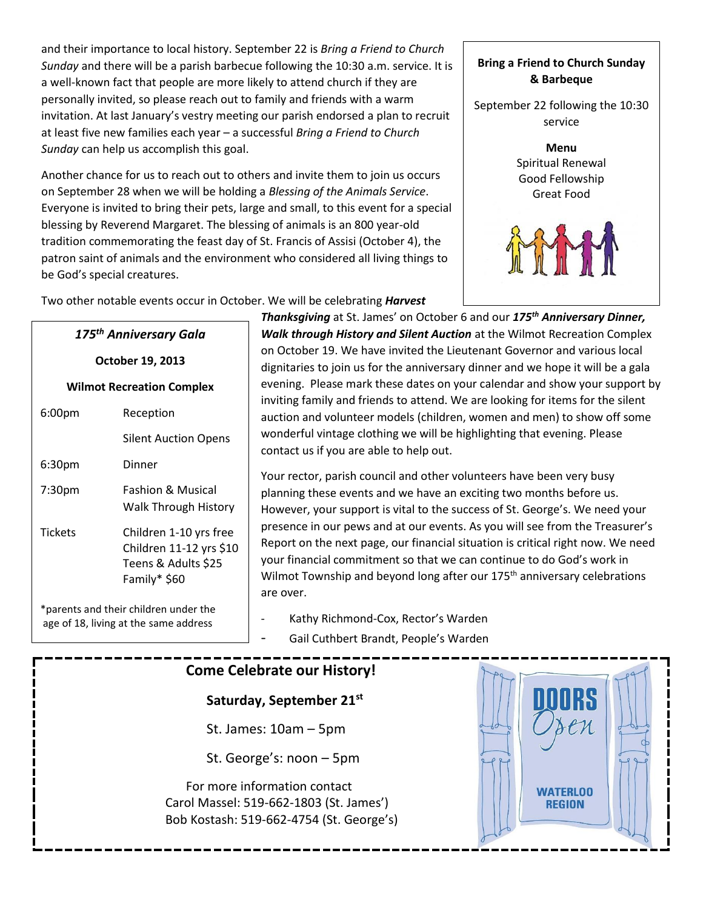and their importance to local history. September 22 is *Bring a Friend to Church Sunday* and there will be a parish barbecue following the 10:30 a.m. service. It is a well-known fact that people are more likely to attend church if they are personally invited, so please reach out to family and friends with a warm invitation. At last January's vestry meeting our parish endorsed a plan to recruit at least five new families each year – a successful *Bring a Friend to Church Sunday* can help us accomplish this goal.

Another chance for us to reach out to others and invite them to join us occurs on September 28 when we will be holding a *Blessing of the Animals Service*. Everyone is invited to bring their pets, large and small, to this event for a special blessing by Reverend Margaret. The blessing of animals is an 800 year-old tradition commemorating the feast day of St. Francis of Assisi (October 4), the patron saint of animals and the environment who considered all living things to be God's special creatures.

#### **Bring a Friend to Church Sunday & Barbeque**

September 22 following the 10:30 service



Two other notable events occur in October. We will be celebrating *Harvest* 

**Thanksgiving** at St. James' on October 6 and our 175<sup>th</sup> Anniversary Dinner, *Walk through History and Silent Auction* at the Wilmot Recreation Complex on October 19. We have invited the Lieutenant Governor and various local dignitaries to join us for the anniversary dinner and we hope it will be a gala evening. Please mark these dates on your calendar and show your support by inviting family and friends to attend. We are looking for items for the silent auction and volunteer models (children, women and men) to show off some wonderful vintage clothing we will be highlighting that evening. Please contact us if you are able to help out.

Your rector, parish council and other volunteers have been very busy planning these events and we have an exciting two months before us. However, your support is vital to the success of St. George's. We need your presence in our pews and at our events. As you will see from the Treasurer's Report on the next page, our financial situation is critical right now. We need your financial commitment so that we can continue to do God's work in Wilmot Township and beyond long after our 175<sup>th</sup> anniversary celebrations are over.

Kathy Richmond-Cox, Rector's Warden

Gail Cuthbert Brandt, People's Warden

# **Come Celebrate our History!**

**Saturday, September 21st**

St. James: 10am – 5pm

St. George's: noon – 5pm

For more information contact Carol Massel: 519-662-1803 (St. James') Bob Kostash: 519-662-4754 (St. George's)



**Wilmot Recreation Complex** 6:00pm Reception Silent Auction Opens

*175th Anniversary Gala*

**October 19, 2013**

6:30pm Dinner 7:30pm Fashion & Musical Walk Through History Tickets Children 1-10 yrs free Children 11-12 yrs \$10 Teens & Adults \$25 Family\* \$60

\*parents and their children under the age of 18, living at the same address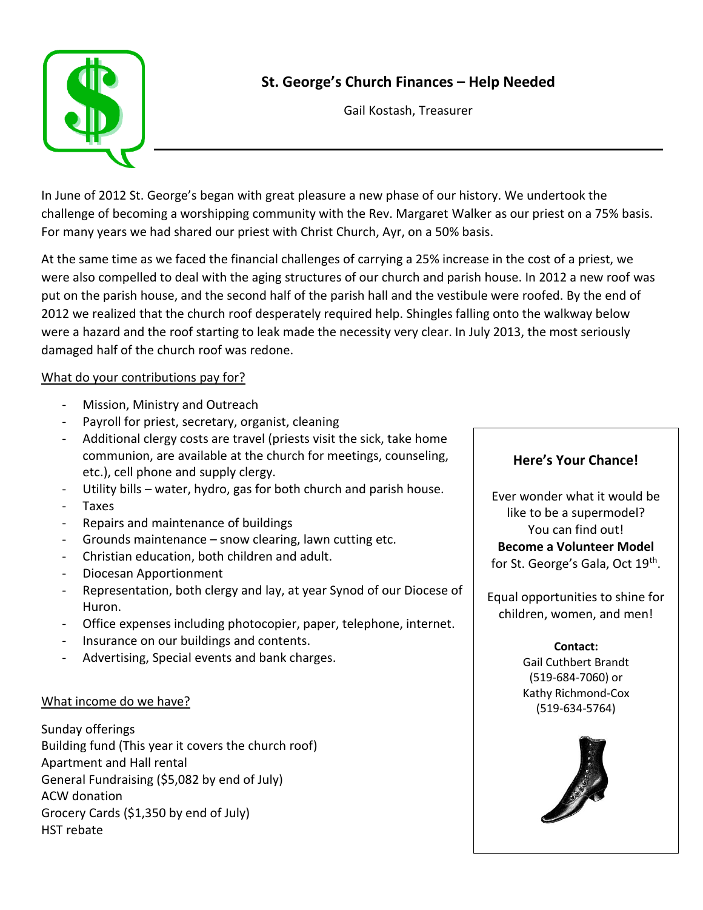



Gail Kostash, Treasurer

In June of 2012 St. George's began with great pleasure a new phase of our history. We undertook the challenge of becoming a worshipping community with the Rev. Margaret Walker as our priest on a 75% basis. For many years we had shared our priest with Christ Church, Ayr, on a 50% basis.

At the same time as we faced the financial challenges of carrying a 25% increase in the cost of a priest, we were also compelled to deal with the aging structures of our church and parish house. In 2012 a new roof was put on the parish house, and the second half of the parish hall and the vestibule were roofed. By the end of 2012 we realized that the church roof desperately required help. Shingles falling onto the walkway below were a hazard and the roof starting to leak made the necessity very clear. In July 2013, the most seriously damaged half of the church roof was redone.

#### What do your contributions pay for?

- Mission, Ministry and Outreach
- Payroll for priest, secretary, organist, cleaning
- Additional clergy costs are travel (priests visit the sick, take home communion, are available at the church for meetings, counseling, etc.), cell phone and supply clergy.
- Utility bills water, hydro, gas for both church and parish house.
- **Taxes**
- Repairs and maintenance of buildings
- Grounds maintenance snow clearing, lawn cutting etc.
- Christian education, both children and adult.
- Diocesan Apportionment
- Representation, both clergy and lay, at year Synod of our Diocese of Huron.
- Office expenses including photocopier, paper, telephone, internet.
- Insurance on our buildings and contents.
- Advertising, Special events and bank charges.

#### What income do we have?

Sunday offerings Building fund (This year it covers the church roof) Apartment and Hall rental General Fundraising (\$5,082 by end of July) ACW donation Grocery Cards (\$1,350 by end of July) HST rebate

#### **Here's Your Chance!**

Ever wonder what it would be like to be a supermodel? You can find out! **Become a Volunteer Model**  for St. George's Gala, Oct 19<sup>th</sup>.

Equal opportunities to shine for children, women, and men!

> **Contact:** Gail Cuthbert Brandt (519-684-7060) or Kathy Richmond-Cox (519-634-5764)

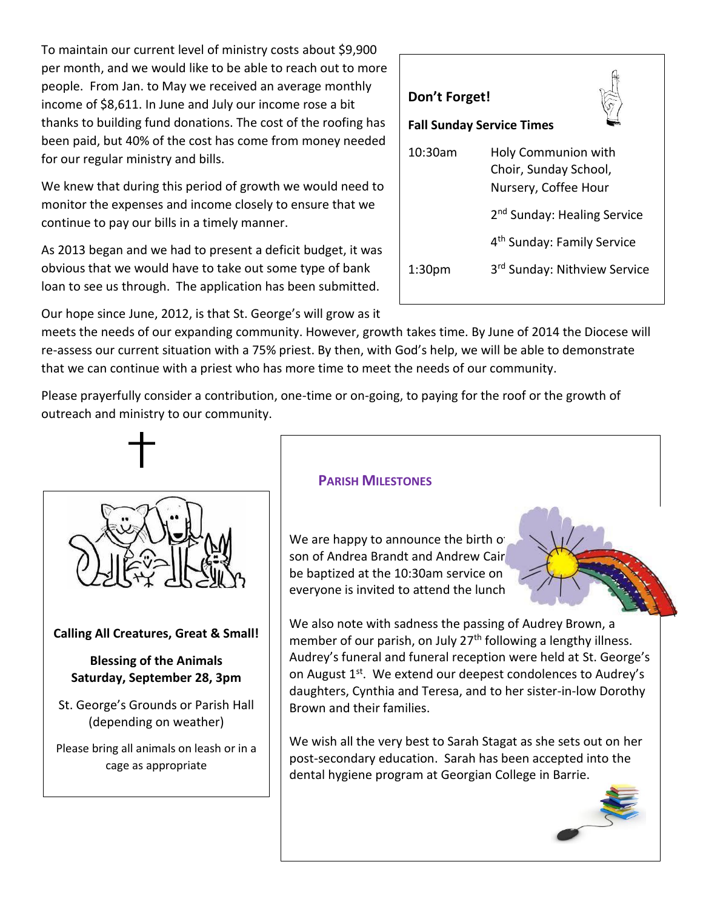To maintain our current level of ministry costs about \$9,900 per month, and we would like to be able to reach out to more people. From Jan. to May we received an average monthly income of \$8,611. In June and July our income rose a bit thanks to building fund donations. The cost of the roofing has been paid, but 40% of the cost has come from money needed for our regular ministry and bills.

We knew that during this period of growth we would need to monitor the expenses and income closely to ensure that we continue to pay our bills in a timely manner.

As 2013 began and we had to present a deficit budget, it was obvious that we would have to take out some type of bank loan to see us through. The application has been submitted.

Our hope since June, 2012, is that St. George's will grow as it

meets the needs of our expanding community. However, growth takes time. By June of 2014 the Diocese will re-assess our current situation with a 75% priest. By then, with God's help, we will be able to demonstrate that we can continue with a priest who has more time to meet the needs of our community.

Please prayerfully consider a contribution, one-time or on-going, to paying for the roof or the growth of outreach and ministry to our community.



# **Calling All Creatures, Great & Small!**

# **Blessing of the Animals Saturday, September 28, 3pm**

St. George's Grounds or Parish Hall (depending on weather)

Please bring all animals on leash or in a cage as appropriate

# **PARISH MILESTONES**

We are happy to announce the birth of son of Andrea Brandt and Andrew Cair be baptized at the 10:30am service on everyone is invited to attend the lunch

We also note with sadness the passing of Audrey Brown, a member of our parish, on July 27<sup>th</sup> following a lengthy illness. Audrey's funeral and funeral reception were held at St. George's on August 1<sup>st</sup>. We extend our deepest condolences to Audrey's daughters, Cynthia and Teresa, and to her sister-in-low Dorothy Brown and their families.

We wish all the very best to Sarah Stagat as she sets out on her post-secondary education. Sarah has been accepted into the dental hygiene program at Georgian College in Barrie.

# **Fall Sunday Service Times**

**Don't Forget!**